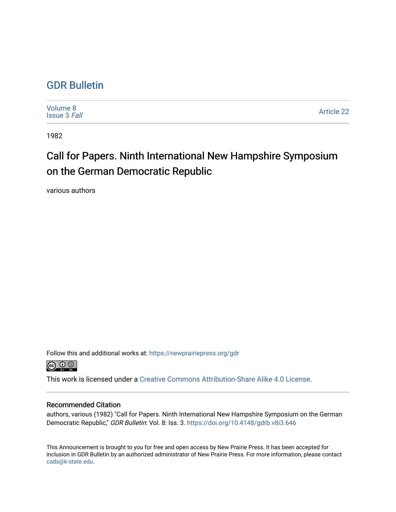### [GDR Bulletin](https://newprairiepress.org/gdr)

| Volume 8<br><b>Issue 3 Fall</b> | <b>Article 22</b> |
|---------------------------------|-------------------|
|---------------------------------|-------------------|

1982

# Call for Papers. Ninth International New Hampshire Symposium on the German Democratic Republic

various authors

Follow this and additional works at: [https://newprairiepress.org/gdr](https://newprairiepress.org/gdr?utm_source=newprairiepress.org%2Fgdr%2Fvol8%2Fiss3%2F22&utm_medium=PDF&utm_campaign=PDFCoverPages) 



This work is licensed under a [Creative Commons Attribution-Share Alike 4.0 License.](https://creativecommons.org/licenses/by-sa/4.0/)

#### Recommended Citation

authors, various (1982) "Call for Papers. Ninth International New Hampshire Symposium on the German Democratic Republic," GDR Bulletin: Vol. 8: Iss. 3.<https://doi.org/10.4148/gdrb.v8i3.646>

This Announcement is brought to you for free and open access by New Prairie Press. It has been accepted for inclusion in GDR Bulletin by an authorized administrator of New Prairie Press. For more information, please contact [cads@k-state.edu.](mailto:cads@k-state.edu)